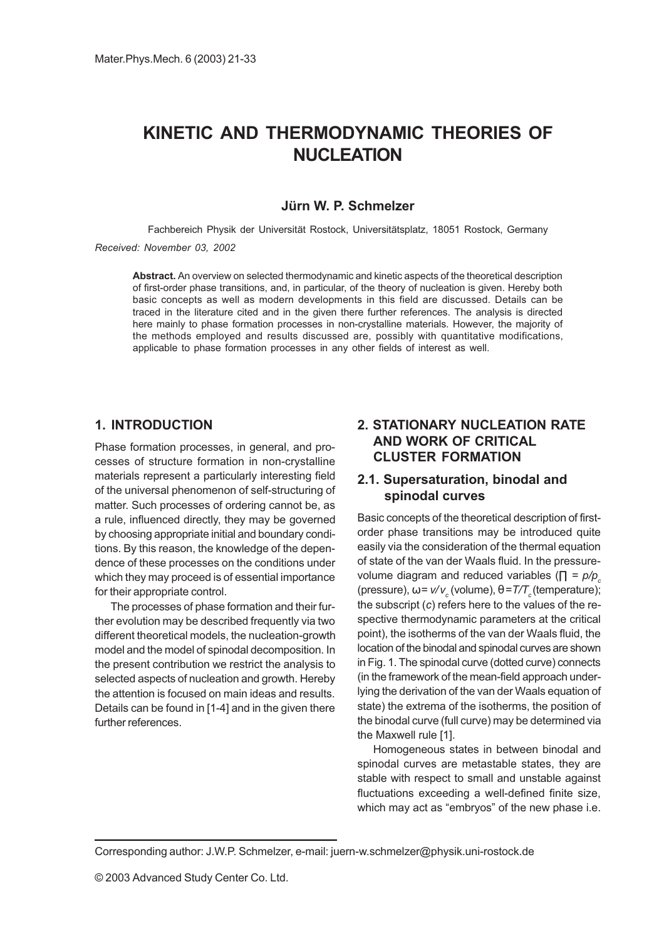# KINETIC AND THERMODYNAMIC THEORIES OF NUCLEATION

### Jürn W. P. Schmelzer

Fachbereich Physik der Universität Rostock, Universitätsplatz, 18051 Rostock, Germany

#### Received: November 03, 2002

Abstract. An overview on selected thermodynamic and kinetic aspects of the theoretical description of first-order phase transitions, and, in particular, of the theory of nucleation is given. Hereby both basic concepts as well as modern developments in this field are discussed. Details can be traced in the literature cited and in the given there further references. The analysis is directed here mainly to phase formation processes in non-crystalline materials. However, the majority of the methods employed and results discussed are, possibly with quantitative modifications, applicable to phase formation processes in any other fields of interest as well.

### 1. INTRODUCTION

Phase formation processes, in general, and processes of structure formation in non-crystalline materials represent a particularly interesting field of the universal phenomenon of self-structuring of matter. Such processes of ordering cannot be, as a rule, influenced directly, they may be governed by choosing appropriate initial and boundary conditions. By this reason, the knowledge of the dependence of these processes on the conditions under which they may proceed is of essential importance for their appropriate control.

The processes of phase formation and their further evolution may be described frequently via two different theoretical models, the nucleation-growth model and the model of spinodal decomposition. In the present contribution we restrict the analysis to selected aspects of nucleation and growth. Hereby the attention is focused on main ideas and results. Details can be found in [1-4] and in the given there further references.

# 2. STATIONARY NUCLEATION RATE AND WORK OF CRITICAL CLUSTER FORMATION

### 2.1. Supersaturation, binodal and spinodal curves

Basic concepts of the theoretical description of firstorder phase transitions may be introduced quite easily via the consideration of the thermal equation of state of the van der Waals fluid. In the pressurevolume diagram and reduced variables ( $\Pi = p/p_c$ (pressure),  $ω = v/v_c$  (volume),  $θ = T/T_c$  (temperature); the subscript (c) refers here to the values of the respective thermodynamic parameters at the critical point), the isotherms of the van der Waals fluid, the location of the binodal and spinodal curves are shown in Fig. 1. The spinodal curve (dotted curve) connects (in the framework of the mean-field approach underlying the derivation of the van der Waals equation of state) the extrema of the isotherms, the position of the binodal curve (full curve) may be determined via the Maxwell rule [1].

Homogeneous states in between binodal and spinodal curves are metastable states, they are stable with respect to small and unstable against fluctuations exceeding a well-defined finite size, which may act as "embryos" of the new phase i.e.

Corresponding author: J.W.P. Schmelzer, e-mail: juern-w.schmelzer@physik.uni-rostock.de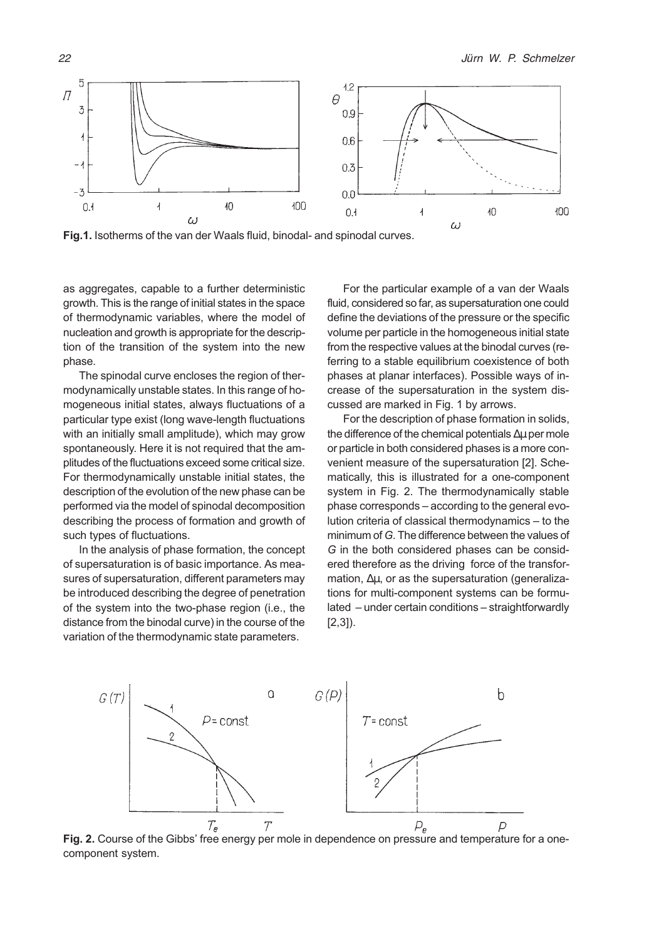

Fig.1. Isotherms of the van der Waals fluid, binodal- and spinodal curves.

as aggregates, capable to a further deterministic growth. This is the range of initial states in the space of thermodynamic variables, where the model of nucleation and growth is appropriate for the description of the transition of the system into the new phase.

The spinodal curve encloses the region of thermodynamically unstable states. In this range of homogeneous initial states, always fluctuations of a particular type exist (long wave-length fluctuations with an initially small amplitude), which may grow spontaneously. Here it is not required that the amplitudes of the fluctuations exceed some critical size. For thermodynamically unstable initial states, the description of the evolution of the new phase can be performed via the model of spinodal decomposition describing the process of formation and growth of such types of fluctuations.

In the analysis of phase formation, the concept of supersaturation is of basic importance. As measures of supersaturation, different parameters may be introduced describing the degree of penetration of the system into the two-phase region (i.e., the distance from the binodal curve) in the course of the variation of the thermodynamic state parameters.

For the particular example of a van der Waals fluid, considered so far, as supersaturation one could define the deviations of the pressure or the specific volume per particle in the homogeneous initial state from the respective values at the binodal curves (referring to a stable equilibrium coexistence of both phases at planar interfaces). Possible ways of increase of the supersaturation in the system discussed are marked in Fig. 1 by arrows.

For the description of phase formation in solids, the difference of the chemical potentials ∆µ per mole or particle in both considered phases is a more convenient measure of the supersaturation [2]. Schematically, this is illustrated for a one-component system in Fig. 2. The thermodynamically stable phase corresponds - according to the general evolution criteria of classical thermodynamics - to the minimum of G. The difference between the values of G in the both considered phases can be considered therefore as the driving force of the transformation, ∆µ, or as the supersaturation (generalizations for multi-component systems can be formulated - under certain conditions - straightforwardly [2,3]).



Fig. 2. Course of the Gibbs' free energy per mole in dependence on pressure and temperature for a onecomponent system.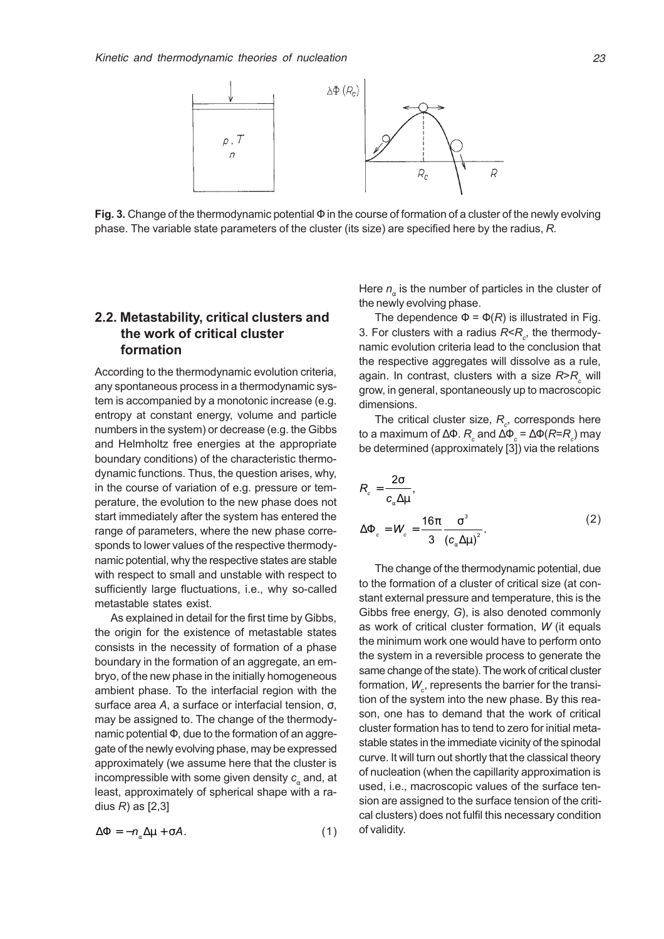

Fig. 3. Change of the thermodynamic potential  $\Phi$  in the course of formation of a cluster of the newly evolving phase. The variable state parameters of the cluster (its size) are specified here by the radius, R.

## 2.2. Metastability, critical clusters and the work of critical cluster formation

According to the thermodynamic evolution criteria, any spontaneous process in a thermodynamic system is accompanied by a monotonic increase (e.g. entropy at constant energy, volume and particle numbers in the system) or decrease (e.g. the Gibbs and Helmholtz free energies at the appropriate boundary conditions) of the characteristic thermodynamic functions. Thus, the question arises, why, in the course of variation of e.g. pressure or temperature, the evolution to the new phase does not start immediately after the system has entered the range of parameters, where the new phase corresponds to lower values of the respective thermodynamic potential, why the respective states are stable with respect to small and unstable with respect to sufficiently large fluctuations, i.e., why so-called metastable states exist.

As explained in detail for the first time by Gibbs, the origin for the existence of metastable states consists in the necessity of formation of a phase boundary in the formation of an aggregate, an embryo, of the new phase in the initially homogeneous ambient phase. To the interfacial region with the surface area A, a surface or interfacial tension, σ, may be assigned to. The change of the thermodynamic potential Φ, due to the formation of an aggregate of the newly evolving phase, may be expressed approximately (we assume here that the cluster is incompressible with some given density  $c<sub>x</sub>$  and, at least, approximately of spherical shape with a radius  $R$ ) as  $[2,3]$ 

$$
\Delta \Phi = -n_{\alpha} \Delta \mu + \sigma A. \tag{1}
$$

Here  $n_{\alpha}$  is the number of particles in the cluster of the newly evolving phase.

The dependence  $\Phi = \Phi(R)$  is illustrated in Fig. 3. For clusters with a radius  $R \hspace{-0.6mm}<\hspace{-0.6mm} R_c$ , the thermodynamic evolution criteria lead to the conclusion that the respective aggregates will dissolve as a rule, again. In contrast, clusters with a size  $\mathsf{R}\!\!>\!\!R_{_\mathcal{C}}$  will grow, in general, spontaneously up to macroscopic dimensions.

The critical cluster size,  $R_{_{C}}$ , corresponds here to a maximum of ∆ $\Phi$ .  $R_{_{c}}$  and ∆ $\Phi_{_{c}}$  = ∆ $\Phi$ ( $R$ = $R_{_{c}}$ ) may be determined (approximately [3]) via the relations

$$
R_c = \frac{2\sigma}{c_\alpha \Delta \mu},
$$
  
\n
$$
\Delta \Phi_c = W_c = \frac{16\pi}{3} \frac{\sigma^3}{(c_\alpha \Delta \mu)^2}.
$$
\n(2)

The change of the thermodynamic potential, due to the formation of a cluster of critical size (at constant external pressure and temperature, this is the Gibbs free energy, G), is also denoted commonly as work of critical cluster formation, W (it equals the minimum work one would have to perform onto the system in a reversible process to generate the same change of the state). The work of critical cluster formation,  $\mathcal{W}_{_{\mathrm{c}}}$ , represents the barrier for the transition of the system into the new phase. By this reason, one has to demand that the work of critical cluster formation has to tend to zero for initial metastable states in the immediate vicinity of the spinodal curve. It will turn out shortly that the classical theory of nucleation (when the capillarity approximation is used, i.e., macroscopic values of the surface tension are assigned to the surface tension of the critical clusters) does not fulfil this necessary condition of validity.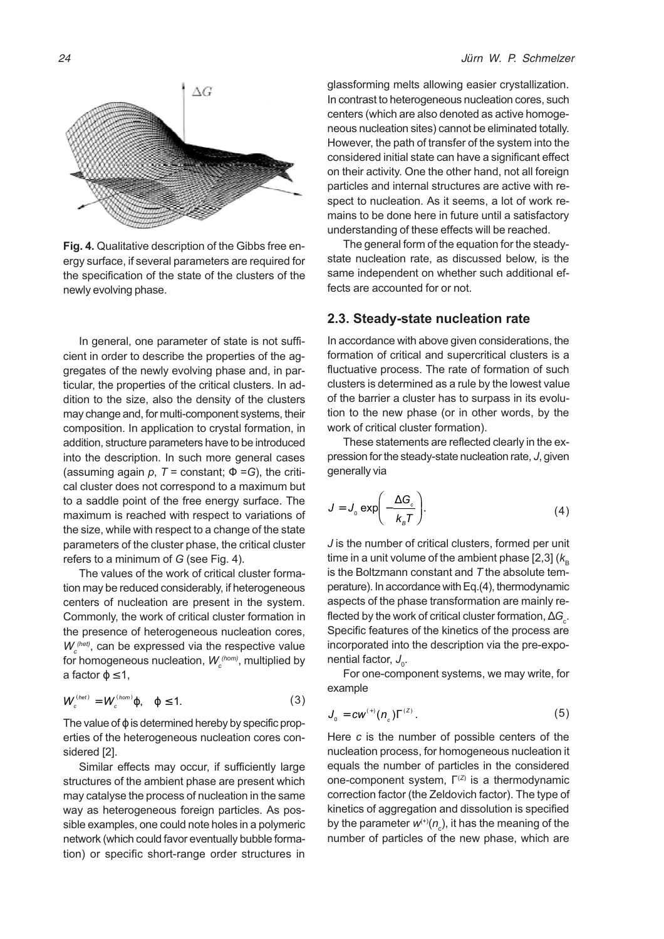

Fig. 4. Qualitative description of the Gibbs free energy surface, if several parameters are required for the specification of the state of the clusters of the newly evolving phase.

In general, one parameter of state is not sufficient in order to describe the properties of the aggregates of the newly evolving phase and, in particular, the properties of the critical clusters. In addition to the size, also the density of the clusters may change and, for multi-component systems, their composition. In application to crystal formation, in addition, structure parameters have to be introduced into the description. In such more general cases (assuming again p,  $T =$  constant;  $\Phi = G$ ), the critical cluster does not correspond to a maximum but to a saddle point of the free energy surface. The maximum is reached with respect to variations of the size, while with respect to a change of the state parameters of the cluster phase, the critical cluster refers to a minimum of G (see Fig. 4).

The values of the work of critical cluster formation may be reduced considerably, if heterogeneous centers of nucleation are present in the system. Commonly, the work of critical cluster formation in the presence of heterogeneous nucleation cores,  $W_c^{(het)}$ , can be expressed via the respective value for homogeneous nucleation,  $\boldsymbol{W_c^{(hom)}}$ , multiplied by a factor  $\varphi \leq 1$ ,

$$
W_c^{(het)} = W_c^{(hom)}\varphi, \quad \varphi \le 1.
$$
 (3)

The value of  $\varphi$  is determined hereby by specific properties of the heterogeneous nucleation cores considered [2].

Similar effects may occur, if sufficiently large structures of the ambient phase are present which may catalyse the process of nucleation in the same way as heterogeneous foreign particles. As possible examples, one could note holes in a polymeric network (which could favor eventually bubble formation) or specific short-range order structures in

glassforming melts allowing easier crystallization. In contrast to heterogeneous nucleation cores, such centers (which are also denoted as active homogeneous nucleation sites) cannot be eliminated totally. However, the path of transfer of the system into the considered initial state can have a significant effect on their activity. One the other hand, not all foreign particles and internal structures are active with respect to nucleation. As it seems, a lot of work remains to be done here in future until a satisfactory understanding of these effects will be reached.

The general form of the equation for the steadystate nucleation rate, as discussed below, is the same independent on whether such additional effects are accounted for or not.

#### 2.3. Steady-state nucleation rate

In accordance with above given considerations, the formation of critical and supercritical clusters is a fluctuative process. The rate of formation of such clusters is determined as a rule by the lowest value of the barrier a cluster has to surpass in its evolution to the new phase (or in other words, by the work of critical cluster formation).

These statements are reflected clearly in the expression for the steady-state nucleation rate, J, given generally via

$$
J = J_0 \exp\left(-\frac{\Delta G_c}{k_B T}\right).
$$
 (4)

J is the number of critical clusters, formed per unit time in a unit volume of the ambient phase [2,3]  $(k_{\rm B}$ is the Boltzmann constant and  $T$  the absolute temperature). In accordance with Eq.(4), thermodynamic aspects of the phase transformation are mainly reflected by the work of critical cluster formation,  $\Delta G_{_{\mathrm{c}}}$ . Specific features of the kinetics of the process are incorporated into the description via the pre-exponential factor,  $J_{\!{}_0}$ .

For one-component systems, we may write, for example

$$
J_{0} = c w^{(+)}(n_{c}) \Gamma^{(z)}.
$$
 (5)

Here c is the number of possible centers of the nucleation process, for homogeneous nucleation it equals the number of particles in the considered one-component system,  $\Gamma^{(Z)}$  is a thermodynamic correction factor (the Zeldovich factor). The type of kinetics of aggregation and dissolution is specified by the parameter  $\mathsf{w}^{(\texttt{+})}(n_{_\mathbb{C}})$ , it has the meaning of the number of particles of the new phase, which are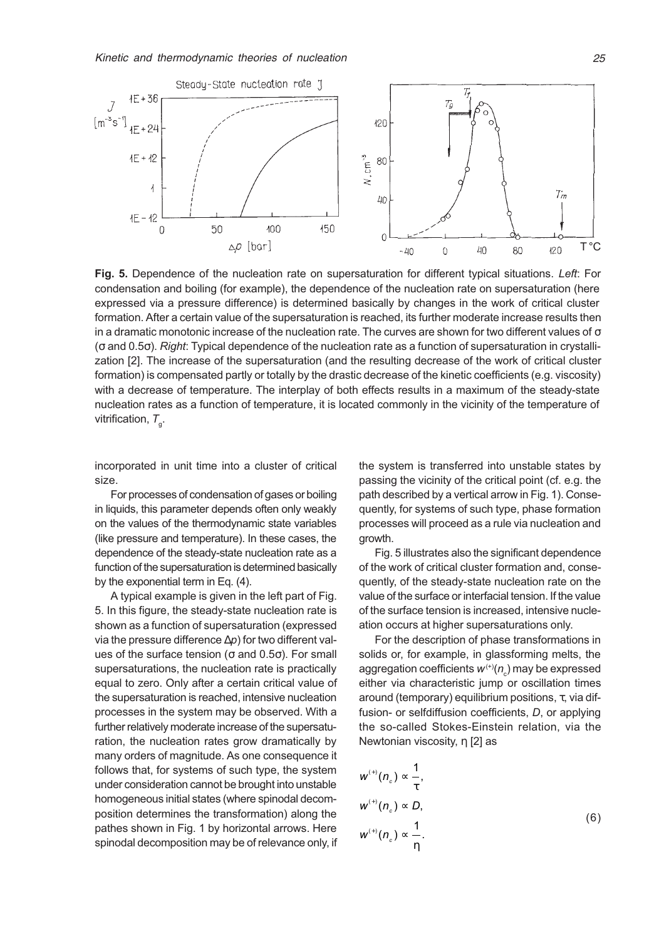

Fig. 5. Dependence of the nucleation rate on supersaturation for different typical situations. Left: For condensation and boiling (for example), the dependence of the nucleation rate on supersaturation (here expressed via a pressure difference) is determined basically by changes in the work of critical cluster formation. After a certain value of the supersaturation is reached, its further moderate increase results then in a dramatic monotonic increase of the nucleation rate. The curves are shown for two different values of  $\sigma$ (σ and 0.5σ). Right: Typical dependence of the nucleation rate as a function of supersaturation in crystallization [2]. The increase of the supersaturation (and the resulting decrease of the work of critical cluster formation) is compensated partly or totally by the drastic decrease of the kinetic coefficients (e.g. viscosity) with a decrease of temperature. The interplay of both effects results in a maximum of the steady-state nucleation rates as a function of temperature, it is located commonly in the vicinity of the temperature of vitrification,  $\mathcal{T}_{_{\mathsf{g}}}.$ 

incorporated in unit time into a cluster of critical size.

For processes of condensation of gases or boiling in liquids, this parameter depends often only weakly on the values of the thermodynamic state variables (like pressure and temperature). In these cases, the dependence of the steady-state nucleation rate as a function of the supersaturation is determined basically by the exponential term in Eq. (4).

A typical example is given in the left part of Fig. 5. In this figure, the steady-state nucleation rate is shown as a function of supersaturation (expressed via the pressure difference ∆p) for two different values of the surface tension ( $σ$  and  $0.5σ$ ). For small supersaturations, the nucleation rate is practically equal to zero. Only after a certain critical value of the supersaturation is reached, intensive nucleation processes in the system may be observed. With a further relatively moderate increase of the supersaturation, the nucleation rates grow dramatically by many orders of magnitude. As one consequence it follows that, for systems of such type, the system under consideration cannot be brought into unstable homogeneous initial states (where spinodal decomposition determines the transformation) along the pathes shown in Fig. 1 by horizontal arrows. Here spinodal decomposition may be of relevance only, if the system is transferred into unstable states by passing the vicinity of the critical point (cf. e.g. the path described by a vertical arrow in Fig. 1). Consequently, for systems of such type, phase formation processes will proceed as a rule via nucleation and growth.

Fig. 5 illustrates also the significant dependence of the work of critical cluster formation and, consequently, of the steady-state nucleation rate on the value of the surface or interfacial tension. If the value of the surface tension is increased, intensive nucleation occurs at higher supersaturations only.

For the description of phase transformations in solids or, for example, in glassforming melts, the aggregation coefficients  $\mathsf{w}^{(\ast)}\mathsf{(}n_{_{\mathrm{C}}\mathsf{)}}$  may be expressed either via characteristic jump or oscillation times around (temporary) equilibrium positions, τ, via diffusion- or selfdiffusion coefficients, D, or applying the so-called Stokes-Einstein relation, via the Newtonian viscosity, η [2] as

$$
w^{(+)}(n_c) \propto \frac{1}{\tau},
$$
  
\n
$$
w^{(+)}(n_c) \propto D,
$$
  
\n
$$
w^{(+)}(n_c) \propto \frac{1}{\eta}.
$$
\n(6)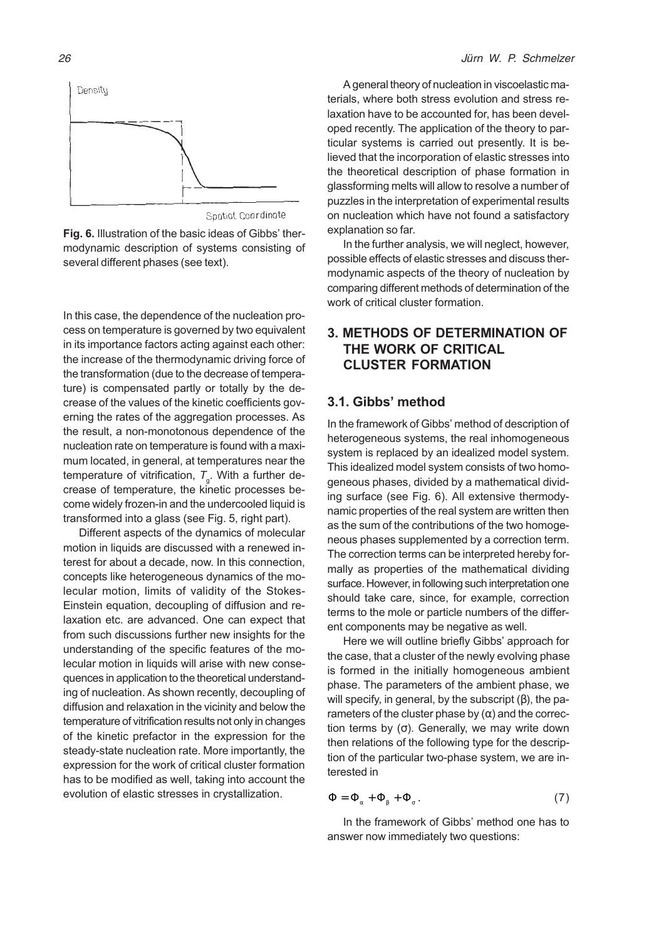

Spatial Coordinate

Fig. 6. Illustration of the basic ideas of Gibbs' thermodynamic description of systems consisting of several different phases (see text).

In this case, the dependence of the nucleation process on temperature is governed by two equivalent in its importance factors acting against each other: the increase of the thermodynamic driving force of the transformation (due to the decrease of temperature) is compensated partly or totally by the decrease of the values of the kinetic coefficients governing the rates of the aggregation processes. As the result, a non-monotonous dependence of the nucleation rate on temperature is found with a maximum located, in general, at temperatures near the temperature of vitrification,  $\mathcal{T}_{_{\mathrm{g}}}$ . With a further decrease of temperature, the kinetic processes become widely frozen-in and the undercooled liquid is transformed into a glass (see Fig. 5, right part).

Different aspects of the dynamics of molecular motion in liquids are discussed with a renewed interest for about a decade, now. In this connection, concepts like heterogeneous dynamics of the molecular motion, limits of validity of the Stokes-Einstein equation, decoupling of diffusion and relaxation etc. are advanced. One can expect that from such discussions further new insights for the understanding of the specific features of the molecular motion in liquids will arise with new consequences in application to the theoretical understanding of nucleation. As shown recently, decoupling of diffusion and relaxation in the vicinity and below the temperature of vitrification results not only in changes of the kinetic prefactor in the expression for the steady-state nucleation rate. More importantly, the expression for the work of critical cluster formation has to be modified as well, taking into account the evolution of elastic stresses in crystallization.

A general theory of nucleation in viscoelastic materials, where both stress evolution and stress relaxation have to be accounted for, has been developed recently. The application of the theory to particular systems is carried out presently. It is believed that the incorporation of elastic stresses into the theoretical description of phase formation in glassforming melts will allow to resolve a number of puzzles in the interpretation of experimental results on nucleation which have not found a satisfactory explanation so far.

In the further analysis, we will neglect, however, possible effects of elastic stresses and discuss thermodynamic aspects of the theory of nucleation by comparing different methods of determination of the work of critical cluster formation.

# 3. METHODS OF DETERMINATION OF THE WORK OF CRITICAL CLUSTER FORMATION

#### 3.1. Gibbs' method

In the framework of Gibbs' method of description of heterogeneous systems, the real inhomogeneous system is replaced by an idealized model system. This idealized model system consists of two homogeneous phases, divided by a mathematical dividing surface (see Fig. 6). All extensive thermodynamic properties of the real system are written then as the sum of the contributions of the two homogeneous phases supplemented by a correction term. The correction terms can be interpreted hereby formally as properties of the mathematical dividing surface. However, in following such interpretation one should take care, since, for example, correction terms to the mole or particle numbers of the different components may be negative as well.

Here we will outline briefly Gibbs' approach for the case, that a cluster of the newly evolving phase is formed in the initially homogeneous ambient phase. The parameters of the ambient phase, we will specify, in general, by the subscript  $(β)$ , the parameters of the cluster phase by  $(\alpha)$  and the correction terms by (σ). Generally, we may write down then relations of the following type for the description of the particular two-phase system, we are interested in

$$
\Phi = \Phi_{\alpha} + \Phi_{\beta} + \Phi_{\sigma} . \tag{7}
$$

In the framework of Gibbs' method one has to answer now immediately two questions: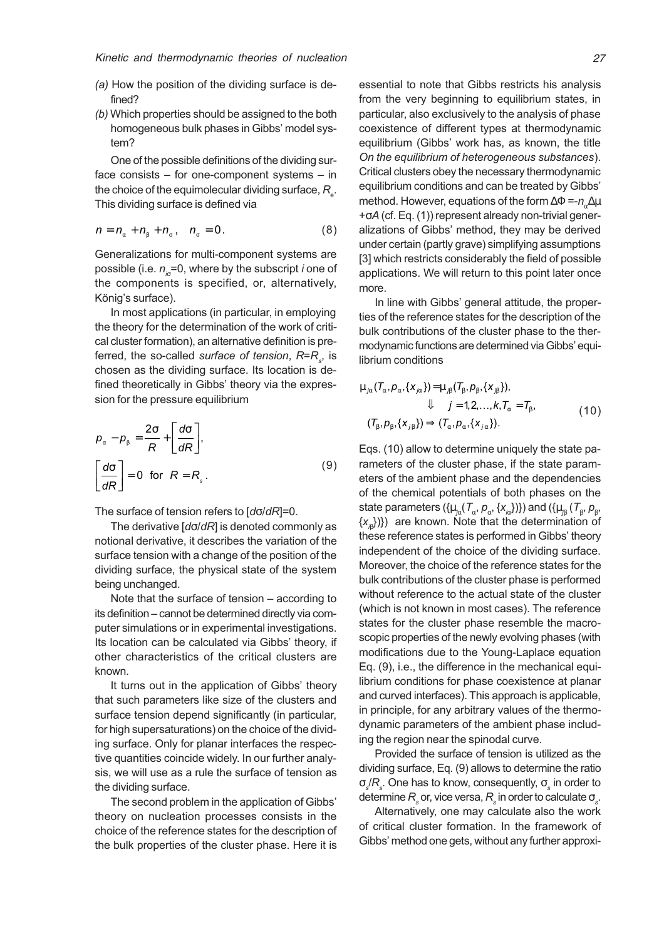- (a) How the position of the dividing surface is defined?
- (b) Which properties should be assigned to the both homogeneous bulk phases in Gibbs' model system?

One of the possible definitions of the dividing surface consists  $-$  for one-component systems  $-$  in the choice of the equimolecular dividing surface,  $R_{_{\rm e}}$ . This dividing surface is defined via

$$
n = n_{\alpha} + n_{\beta} + n_{\sigma}, \quad n_{\sigma} = 0. \tag{8}
$$

Generalizations for multi-component systems are possible (i.e.  $n_{i\sigma}$ =0, where by the subscript *i* one of the components is specified, or, alternatively, König's surface).

In most applications (in particular, in employing the theory for the determination of the work of critical cluster formation), an alternative definition is preferred, the so-called *surface of tension, R=R<sub>s</sub>,* is chosen as the dividing surface. Its location is defined theoretically in Gibbs' theory via the expression for the pressure equilibrium

$$
\rho_{\alpha} - \rho_{\beta} = \frac{2\sigma}{R} + \left[\frac{d\sigma}{dR}\right],
$$
\n
$$
\left[\frac{d\sigma}{dR}\right] = 0 \text{ for } R = R_{s}.
$$
\n(9)

The surface of tension refers to [dσ/dR]=0.

The derivative [dσ/dR] is denoted commonly as notional derivative, it describes the variation of the surface tension with a change of the position of the dividing surface, the physical state of the system being unchanged.

Note that the surface of tension  $-$  according to its definition - cannot be determined directly via computer simulations or in experimental investigations. Its location can be calculated via Gibbs' theory, if other characteristics of the critical clusters are known.

It turns out in the application of Gibbs' theory that such parameters like size of the clusters and surface tension depend significantly (in particular, for high supersaturations) on the choice of the dividing surface. Only for planar interfaces the respective quantities coincide widely. In our further analysis, we will use as a rule the surface of tension as the dividing surface.

The second problem in the application of Gibbs theory on nucleation processes consists in the choice of the reference states for the description of the bulk properties of the cluster phase. Here it is essential to note that Gibbs restricts his analysis from the very beginning to equilibrium states, in particular, also exclusively to the analysis of phase coexistence of different types at thermodynamic equilibrium (Gibbs' work has, as known, the title On the equilibrium of heterogeneous substances). Critical clusters obey the necessary thermodynamic equilibrium conditions and can be treated by Gibbs method. However, equations of the form  $\Delta \Phi = -n_{\Delta} \Delta \mu$ +σA (cf. Eq. (1)) represent already non-trivial generalizations of Gibbs' method, they may be derived under certain (partly grave) simplifying assumptions [3] which restricts considerably the field of possible applications. We will return to this point later once more.

In line with Gibbs' general attitude, the properties of the reference states for the description of the bulk contributions of the cluster phase to the thermodynamic functions are determined via Gibbs' equilibrium conditions

$$
\mu_{j\alpha}(\mathcal{T}_{\alpha}, \rho_{\alpha}, \{x_{j\alpha}\}) = \mu_{j\beta}(\mathcal{T}_{\beta}, \rho_{\beta}, \{x_{j\beta}\}),
$$
  
\n
$$
\Downarrow j = 1, 2, ..., k, \mathcal{T}_{\alpha} = \mathcal{T}_{\beta},
$$
  
\n
$$
(\mathcal{T}_{\beta}, \rho_{\beta}, \{x_{j\beta}\}) \Longrightarrow (\mathcal{T}_{\alpha}, \rho_{\alpha}, \{x_{j\alpha}\}).
$$
\n(10)

Eqs. (10) allow to determine uniquely the state parameters of the cluster phase, if the state parameters of the ambient phase and the dependencies of the chemical potentials of both phases on the state parameters ( $\{\mu_{j\alpha}(\mathcal{T}_\alpha,\rho_\alpha,\{X_{j\alpha}\})\}$ ) and ( $\{\mu_{j\beta}^-(\mathcal{T}_\beta,\rho_\beta,\phi)\}$  $\{\boldsymbol{\mathsf{x}}_{\mathsf{p}}\})\}$ ) are known. Note that the determination of these reference states is performed in Gibbs' theory independent of the choice of the dividing surface. Moreover, the choice of the reference states for the bulk contributions of the cluster phase is performed without reference to the actual state of the cluster (which is not known in most cases). The reference states for the cluster phase resemble the macroscopic properties of the newly evolving phases (with modifications due to the Young-Laplace equation Eq. (9), i.e., the difference in the mechanical equilibrium conditions for phase coexistence at planar and curved interfaces). This approach is applicable, in principle, for any arbitrary values of the thermodynamic parameters of the ambient phase including the region near the spinodal curve.

Provided the surface of tension is utilized as the dividing surface, Eq. (9) allows to determine the ratio σ $_{\scriptscriptstyle \rm S}$ / $R_{\scriptscriptstyle \rm s}$ . One has to know, consequently,  $\sigma_{\scriptscriptstyle \rm s}$  in order to determine  $\mathsf{R}_{_\mathrm{S}}$ or, vice versa,  $\mathsf{R}_{_\mathrm{S}}$ in order to calculate  $\sigma_{_\mathrm{S}}$ .

Alternatively, one may calculate also the work of critical cluster formation. In the framework of Gibbs' method one gets, without any further approxi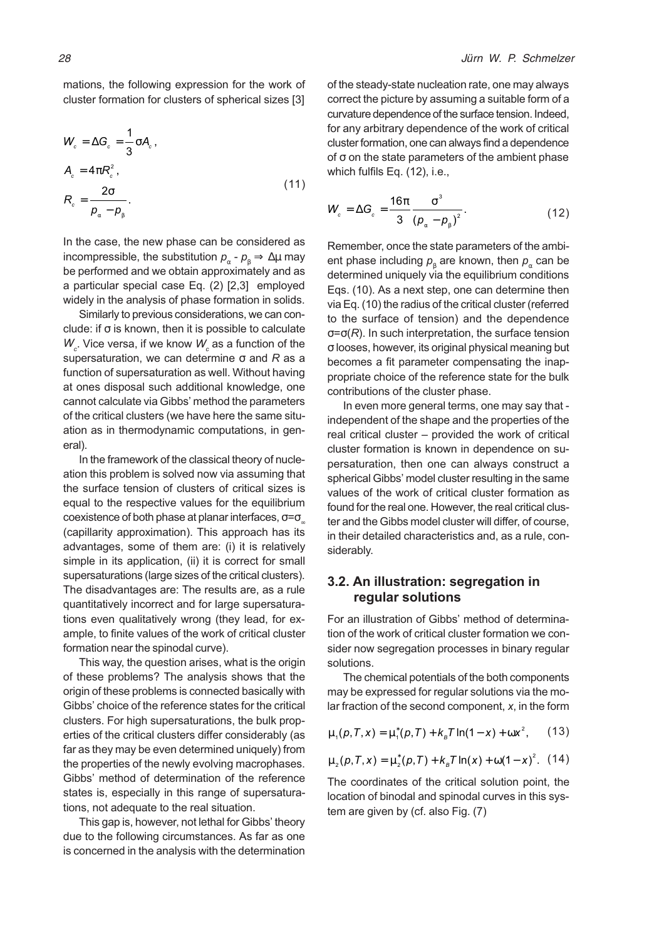mations, the following expression for the work of cluster formation for clusters of spherical sizes [3]

$$
W_c = \Delta G_c = \frac{1}{3} \sigma A_c,
$$
  
\n
$$
A_c = 4\pi R_c^2,
$$
  
\n
$$
R_c = \frac{2\sigma}{p_\alpha - p_\beta}.
$$
\n(11)

In the case, the new phase can be considered as incompressible, the substitution  $p_{\alpha} - p_{\beta} \Rightarrow \Delta \mu$  may be performed and we obtain approximately and as a particular special case Eq. (2) [2,3] employed widely in the analysis of phase formation in solids.

Similarly to previous considerations, we can conclude: if  $\sigma$  is known, then it is possible to calculate  $W_{c}$ . Vice versa, if we know  $W_{c}$  as a function of the supersaturation, we can determine  $\sigma$  and R as a function of supersaturation as well. Without having at ones disposal such additional knowledge, one cannot calculate via Gibbs' method the parameters of the critical clusters (we have here the same situation as in thermodynamic computations, in general).

In the framework of the classical theory of nucleation this problem is solved now via assuming that the surface tension of clusters of critical sizes is equal to the respective values for the equilibrium coexistence of both phase at planar interfaces,  $\sigma = \sigma_{\alpha}$ (capillarity approximation). This approach has its advantages, some of them are: (i) it is relatively simple in its application, (ii) it is correct for small supersaturations (large sizes of the critical clusters). The disadvantages are: The results are, as a rule quantitatively incorrect and for large supersaturations even qualitatively wrong (they lead, for example, to finite values of the work of critical cluster formation near the spinodal curve).

This way, the question arises, what is the origin of these problems? The analysis shows that the origin of these problems is connected basically with Gibbs' choice of the reference states for the critical clusters. For high supersaturations, the bulk properties of the critical clusters differ considerably (as far as they may be even determined uniquely) from the properties of the newly evolving macrophases. Gibbs' method of determination of the reference states is, especially in this range of supersaturations, not adequate to the real situation.

This gap is, however, not lethal for Gibbs' theory due to the following circumstances. As far as one is concerned in the analysis with the determination

of the steady-state nucleation rate, one may always correct the picture by assuming a suitable form of a curvature dependence of the surface tension. Indeed, for any arbitrary dependence of the work of critical cluster formation, one can always find a dependence of  $σ$  on the state parameters of the ambient phase which fulfils Eq. (12), i.e.,

$$
W_c = \Delta G_c = \frac{16\pi}{3} \frac{\sigma^3}{\left(p_\alpha - p_\beta\right)^2}.
$$
 (12)

Remember, once the state parameters of the ambient phase including  $\overline{\rho}_{\scriptscriptstyle\beta}$  are known, then  $\overline{\rho}_{\scriptscriptstyle\alpha}$  can be determined uniquely via the equilibrium conditions Eqs. (10). As a next step, one can determine then via Eq. (10) the radius of the critical cluster (referred to the surface of tension) and the dependence  $\sigma = \sigma(R)$ . In such interpretation, the surface tension σ looses, however, its original physical meaning but becomes a fit parameter compensating the inappropriate choice of the reference state for the bulk contributions of the cluster phase.

In even more general terms, one may say that independent of the shape and the properties of the real critical cluster – provided the work of critical cluster formation is known in dependence on supersaturation, then one can always construct a spherical Gibbs' model cluster resulting in the same values of the work of critical cluster formation as found for the real one. However, the real critical cluster and the Gibbs model cluster will differ, of course, in their detailed characteristics and, as a rule, considerably.

# 3.2. An illustration: segregation in regular solutions

For an illustration of Gibbs' method of determination of the work of critical cluster formation we consider now segregation processes in binary regular solutions.

The chemical potentials of the both components may be expressed for regular solutions via the molar fraction of the second component,  $x$ , in the form

$$
\mu_1(p, T, x) = \mu_1^*(p, T) + k_{\rm B} T \ln(1 - x) + \omega x^2, \qquad (13)
$$

$$
\mu_2(p, T, x) = \mu_2^*(p, T) + k_B T \ln(x) + \omega(1 - x)^2.
$$
 (14)

The coordinates of the critical solution point, the location of binodal and spinodal curves in this system are given by (cf. also Fig. (7)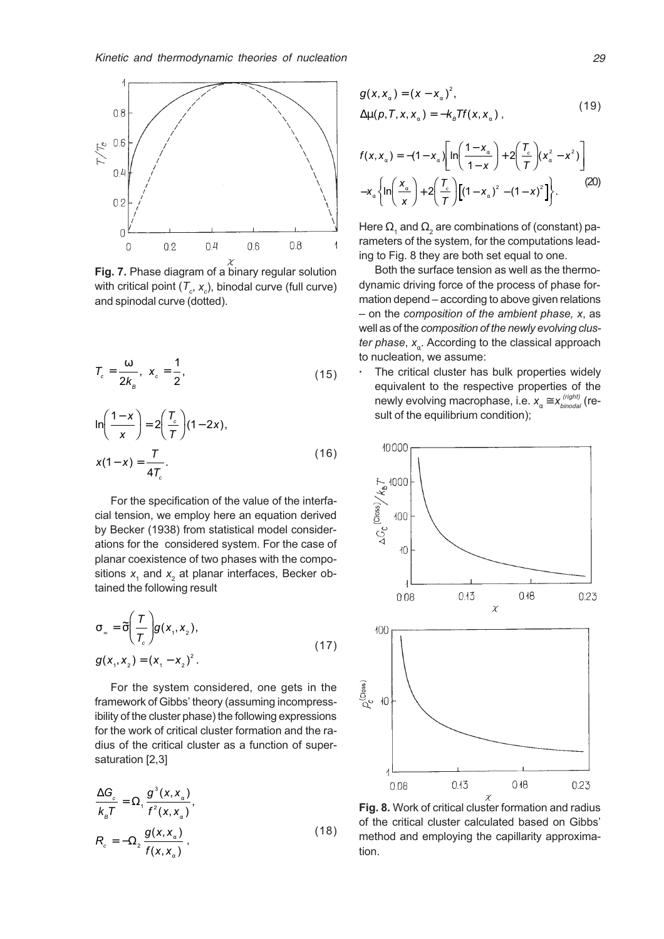

with critical point ( $\mathcal{T}_c$ ,  $\mathsf{x}_c$ ), binodal curve (full curve) and spinodal curve (dotted).

$$
T_c = \frac{\omega}{2k_B}, \ \ x_c = \frac{1}{2}, \tag{15}
$$

$$
\ln\left(\frac{1-x}{x}\right) = 2\left(\frac{T_c}{T}\right)(1-2x),
$$
  

$$
x(1-x) = \frac{T}{4T_c}.
$$
 (16)

For the specification of the value of the interfacial tension, we employ here an equation derived by Becker (1938) from statistical model considerations for the considered system. For the case of planar coexistence of two phases with the compositions  $x_1$  and  $x_2$  at planar interfaces, Becker obtained the following result

$$
\sigma_{\infty} = \tilde{\sigma} \left( \frac{T}{T_c} \right) g(x_1, x_2),
$$
  
 
$$
g(x_1, x_2) = (x_1 - x_2)^2.
$$
 (17)

For the system considered, one gets in the framework of Gibbs' theory (assuming incompressibility of the cluster phase) the following expressions for the work of critical cluster formation and the radius of the critical cluster as a function of supersaturation [2,3]

$$
\frac{\Delta G_c}{k_{\rm B}T} = \Omega_1 \frac{g^3(x, x_\alpha)}{f^2(x, x_\alpha)},
$$
  
\n
$$
R_c = -\Omega_2 \frac{g(x, x_\alpha)}{f(x, x_\alpha)},
$$
\n(18)

$$
g(x, x_{\alpha}) = (x - x_{\alpha})^{2},
$$
  
\n
$$
\Delta \mu(p, T, x, x_{\alpha}) = -k_{B} T f(x, x_{\alpha}),
$$
\n(19)

$$
f(x, x_{\alpha}) = -(1 - x_{\alpha}) \left[ ln\left(\frac{1 - x_{\alpha}}{1 - x}\right) + 2\left(\frac{T_{c}}{T}\right) (x_{\alpha}^{2} - x^{2})\right] - x_{\alpha} \left\{ ln\left(\frac{x_{\alpha}}{x}\right) + 2\left(\frac{T_{c}}{T}\right) \left[(1 - x_{\alpha})^{2} - (1 - x)^{2}\right] \right\}.
$$
 (20)

Here  $\Omega_{_1}$  and  $\Omega_{_2}$  are combinations of (constant) parameters of the system, for the computations leading to Fig. 8 they are both set equal to one.

Both the surface tension as well as the thermodynamic driving force of the process of phase formation depend – according to above given relations  $-$  on the composition of the ambient phase, x, as well as of the composition of the newly evolving cluster phase,  $x_{\alpha}$ . According to the classical approach to nucleation, we assume:

The critical cluster has bulk properties widely equivalent to the respective properties of the newly evolving macrophase, i.e.  $x_{\alpha}^{}\!\cong\! x_{\text{\textit{binodal}}}^{\text{\textit{(right)}}}($  (result of the equilibrium condition);



Fig. 8. Work of critical cluster formation and radius of the critical cluster calculated based on Gibbs method and employing the capillarity approximation.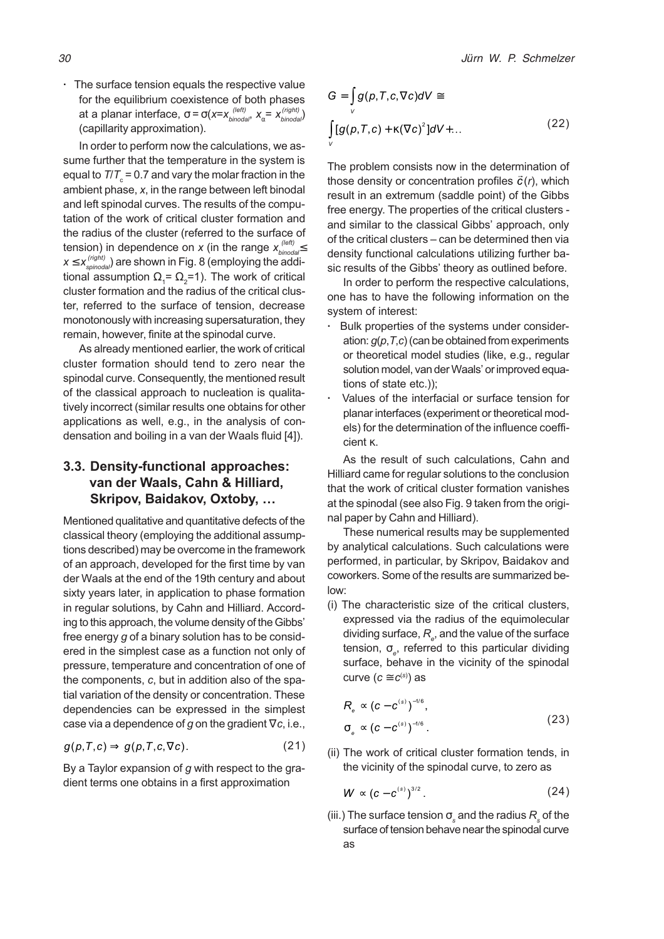· The surface tension equals the respective value for the equilibrium coexistence of both phases at a planar interface, σ = σ(x=x $_{binodal}^{(left)}$ , x $_{\alpha}$ = x $_{binodal}^{(right)}$ ) (capillarity approximation).

In order to perform now the calculations, we assume further that the temperature in the system is equal to  $\textit{TIT}_{\text{c}}$  = 0.7 and vary the molar fraction in the ambient phase, x, in the range between left binodal and left spinodal curves. The results of the computation of the work of critical cluster formation and the radius of the cluster (referred to the surface of tension) in dependence on  $x$  (in the range  $x_\text{\tiny binodal}^{(\text{\tiny left})}$  $x$   $\le$   $x_{\textit{spinodal}}^{(\textit{right})}$  are shown in Fig. 8 (employing the additional assumption  $\Omega_{\scriptscriptstyle{1}}$ =  $\Omega_{\scriptscriptstyle{2}}$ =1). The work of critical cluster formation and the radius of the critical cluster, referred to the surface of tension, decrease monotonously with increasing supersaturation, they remain, however, finite at the spinodal curve.

As already mentioned earlier, the work of critical cluster formation should tend to zero near the spinodal curve. Consequently, the mentioned result of the classical approach to nucleation is qualitatively incorrect (similar results one obtains for other applications as well, e.g., in the analysis of condensation and boiling in a van der Waals fluid [4]).

# 3.3. Density-functional approaches: van der Waals, Cahn & Hilliard, Skripov, Baidakov, Oxtoby,

Mentioned qualitative and quantitative defects of the classical theory (employing the additional assumptions described) may be overcome in the framework of an approach, developed for the first time by van der Waals at the end of the 19th century and about sixty years later, in application to phase formation in regular solutions, by Cahn and Hilliard. According to this approach, the volume density of the Gibbs free energy g of a binary solution has to be considered in the simplest case as a function not only of pressure, temperature and concentration of one of the components, c, but in addition also of the spatial variation of the density or concentration. These dependencies can be expressed in the simplest case via a dependence of g on the gradient  $\nabla c$ , i.e.,

$$
g(p,T,c) \Rightarrow g(p,T,c,\nabla c). \tag{21}
$$

By a Taylor expansion of  $g$  with respect to the gradient terms one obtains in a first approximation

$$
G = \int_{V} g(p, T, c, \nabla c) dV \cong
$$
  

$$
\int_{V} [g(p, T, c) + \kappa (\nabla c)^{2}] dV + ...
$$
 (22)

The problem consists now in the determination of those density or concentration profiles  $\vec{c}(r)$ , which result in an extremum (saddle point) of the Gibbs free energy. The properties of the critical clusters and similar to the classical Gibbs' approach, only of the critical clusters - can be determined then via density functional calculations utilizing further basic results of the Gibbs' theory as outlined before.

In order to perform the respective calculations, one has to have the following information on the system of interest:

- Bulk properties of the systems under consideration:  $q(p,T,c)$  (can be obtained from experiments or theoretical model studies (like, e.g., regular solution model, van der Waals' or improved equations of state etc.));
- Values of the interfacial or surface tension for planar interfaces (experiment or theoretical models) for the determination of the influence coefficient κ.

As the result of such calculations, Cahn and Hilliard came for regular solutions to the conclusion that the work of critical cluster formation vanishes at the spinodal (see also Fig. 9 taken from the original paper by Cahn and Hilliard).

These numerical results may be supplemented by analytical calculations. Such calculations were performed, in particular, by Skripov, Baidakov and coworkers. Some of the results are summarized below:

(i) The characteristic size of the critical clusters, expressed via the radius of the equimolecular dividing surface,  $R_{_\varrho}$ , and the value of the surface tension,  $\sigma_{_{\!e}}$ , referred to this particular dividing surface, behave in the vicinity of the spinodal curve ( $c \equiv c^{\text{\tiny (S)}}$ ) as

$$
R_{\scriptscriptstyle e} \propto (c - c^{\scriptscriptstyle (s)})^{-1/6},
$$
  
\n
$$
\sigma_{\scriptscriptstyle e} \propto (c - c^{\scriptscriptstyle (s)})^{-1/6}.
$$
\n(23)

(ii) The work of critical cluster formation tends, in the vicinity of the spinodal curve, to zero as

$$
W \propto (c - c^{(s)})^{3/2} \,. \tag{24}
$$

(iii.) The surface tension  $\sigma_{_\mathrm{s}}$  and the radius  $R_{_\mathrm{s}}$  of the surface of tension behave near the spinodal curve as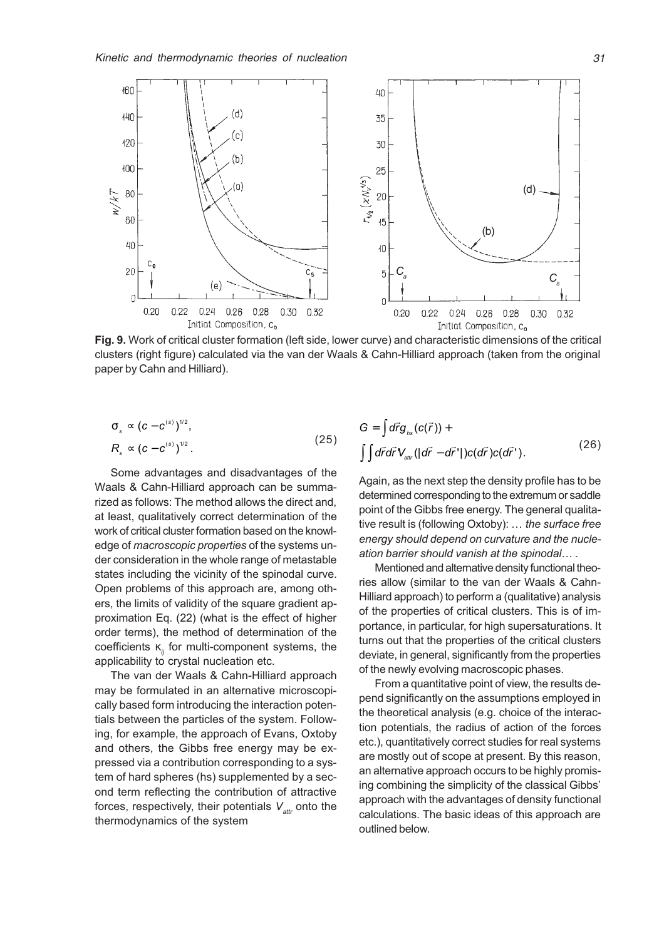

Fig. 9. Work of critical cluster formation (left side, lower curve) and characteristic dimensions of the critical clusters (right figure) calculated via the van der Waals & Cahn-Hilliard approach (taken from the original paper by Cahn and Hilliard).

$$
\sigma_s \propto (c - c^{(s)})^{1/2},
$$
  
\n
$$
R_s \propto (c - c^{(s)})^{1/2}.
$$
\n(25)

Some advantages and disadvantages of the Waals & Cahn-Hilliard approach can be summarized as follows: The method allows the direct and, at least, qualitatively correct determination of the work of critical cluster formation based on the knowledge of macroscopic properties of the systems under consideration in the whole range of metastable states including the vicinity of the spinodal curve. Open problems of this approach are, among others, the limits of validity of the square gradient approximation Eq. (22) (what is the effect of higher order terms), the method of determination of the coefficients  $\kappa_{ii}$  for multi-component systems, the applicability to crystal nucleation etc.

The van der Waals & Cahn-Hilliard approach may be formulated in an alternative microscopically based form introducing the interaction potentials between the particles of the system. Following, for example, the approach of Evans, Oxtoby and others, the Gibbs free energy may be expressed via a contribution corresponding to a system of hard spheres (hs) supplemented by a second term reflecting the contribution of attractive forces, respectively, their potentials  $V_{\text{attn}}$  onto the thermodynamics of the system

$$
G = \int d\vec{r} g_{_{hs}}(c(\vec{r})) +
$$
  

$$
\int \int d\vec{r} d\vec{r} V_{_{att}}(|d\vec{r} - d\vec{r}'|) c(d\vec{r}) c(d\vec{r}').
$$
 (26)

Again, as the next step the density profile has to be determined corresponding to the extremum or saddle point of the Gibbs free energy. The general qualitative result is (following Oxtoby):  $\ldots$  the surface free energy should depend on curvature and the nucleation barrier should vanish at the spinodal....

Mentioned and alternative density functional theories allow (similar to the van der Waals & Cahn-Hilliard approach) to perform a (qualitative) analysis of the properties of critical clusters. This is of importance, in particular, for high supersaturations. It turns out that the properties of the critical clusters deviate, in general, significantly from the properties of the newly evolving macroscopic phases.

From a quantitative point of view, the results depend significantly on the assumptions employed in the theoretical analysis (e.g. choice of the interaction potentials, the radius of action of the forces etc.), quantitatively correct studies for real systems are mostly out of scope at present. By this reason, an alternative approach occurs to be highly promising combining the simplicity of the classical Gibbs approach with the advantages of density functional calculations. The basic ideas of this approach are outlined below.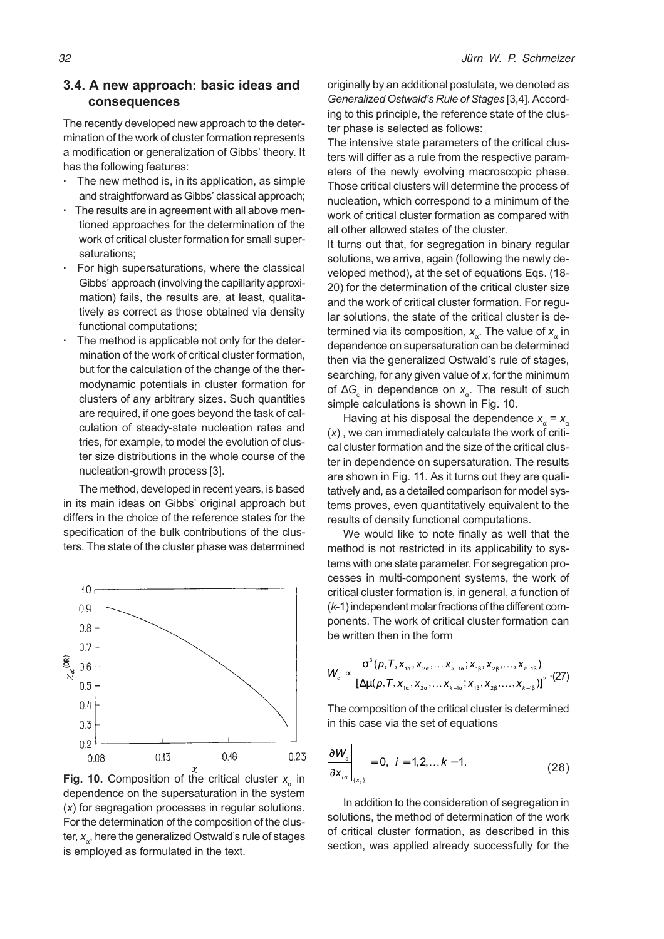### 3.4. A new approach: basic ideas and consequences

The recently developed new approach to the determination of the work of cluster formation represents a modification or generalization of Gibbs' theory. It has the following features:

- The new method is, in its application, as simple and straightforward as Gibbs' classical approach;
- The results are in agreement with all above mentioned approaches for the determination of the work of critical cluster formation for small supersaturations;
- For high supersaturations, where the classical Gibbs' approach (involving the capillarity approximation) fails, the results are, at least, qualitatively as correct as those obtained via density functional computations;
- The method is applicable not only for the determination of the work of critical cluster formation, but for the calculation of the change of the thermodynamic potentials in cluster formation for clusters of any arbitrary sizes. Such quantities are required, if one goes beyond the task of calculation of steady-state nucleation rates and tries, for example, to model the evolution of cluster size distributions in the whole course of the nucleation-growth process [3].

The method, developed in recent years, is based in its main ideas on Gibbs' original approach but differs in the choice of the reference states for the specification of the bulk contributions of the clusters. The state of the cluster phase was determined



**Fig. 10.** Composition of the critical cluster  $x_{\alpha}$  in dependence on the supersaturation in the system (x) for segregation processes in regular solutions. For the determination of the composition of the cluster,  $x_a$ , here the generalized Ostwald's rule of stages is employed as formulated in the text.

originally by an additional postulate, we denoted as Generalized Ostwald's Rule of Stages [3,4]. According to this principle, the reference state of the cluster phase is selected as follows:

The intensive state parameters of the critical clusters will differ as a rule from the respective parameters of the newly evolving macroscopic phase. Those critical clusters will determine the process of nucleation, which correspond to a minimum of the work of critical cluster formation as compared with all other allowed states of the cluster.

It turns out that, for segregation in binary regular solutions, we arrive, again (following the newly developed method), at the set of equations Eqs. (18- 20) for the determination of the critical cluster size and the work of critical cluster formation. For regular solutions, the state of the critical cluster is determined via its composition,  $x_{\alpha}$ . The value of  $x_{\alpha}$  in dependence on supersaturation can be determined then via the generalized Ostwald's rule of stages, searching, for any given value of x, for the minimum of  $\Delta G_{\rm c}$  in dependence on  $x_{\alpha}^{\phantom{\dagger}}$ . The result of such simple calculations is shown in Fig. 10.

Having at his disposal the dependence  $x_a = x_a$ (x) , we can immediately calculate the work of critical cluster formation and the size of the critical cluster in dependence on supersaturation. The results are shown in Fig. 11. As it turns out they are qualitatively and, as a detailed comparison for model systems proves, even quantitatively equivalent to the results of density functional computations.

We would like to note finally as well that the method is not restricted in its applicability to systems with one state parameter. For segregation processes in multi-component systems, the work of critical cluster formation is, in general, a function of (k-1) independent molar fractions of the different components. The work of critical cluster formation can be written then in the form

$$
W_c \propto \frac{\sigma^3(p, T, x_{1\alpha}, x_{2\alpha}, \dots x_{k-1\alpha}; x_{1\beta}, x_{2\beta}, \dots, x_{k-1\beta})}{\left[\Delta \mu(p, T, x_{1\alpha}, x_{2\alpha}, \dots x_{k-1\alpha}; x_{1\beta}, x_{2\beta}, \dots, x_{k-1\beta})\right]^2} \cdot (27)
$$

The composition of the critical cluster is determined in this case via the set of equations

$$
\left.\frac{\partial W_c}{\partial x_{i\alpha}}\right|_{\{x_i\}} = 0, \ \ i = 1, 2, \dots k - 1. \tag{28}
$$

In addition to the consideration of segregation in solutions, the method of determination of the work of critical cluster formation, as described in this section, was applied already successfully for the